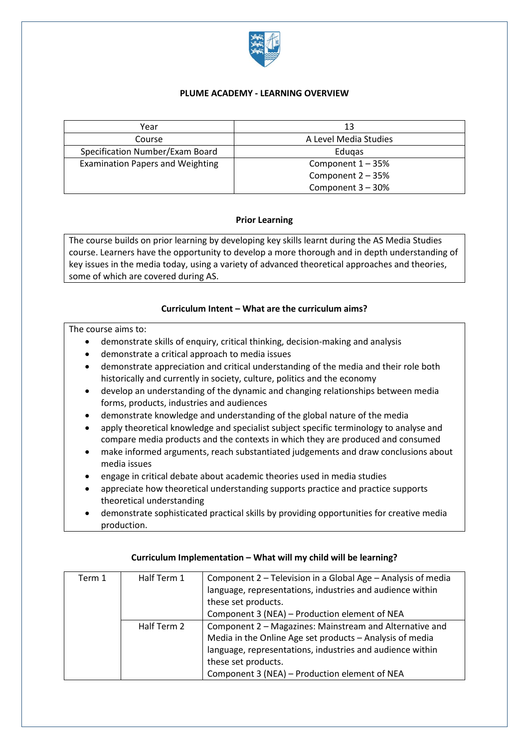

### **PLUME ACADEMY - LEARNING OVERVIEW**

| Year                                    | 13                    |
|-----------------------------------------|-----------------------|
| Course                                  | A Level Media Studies |
| Specification Number/Exam Board         | Edugas                |
| <b>Examination Papers and Weighting</b> | Component $1 - 35%$   |
|                                         | Component 2 - 35%     |
|                                         | Component 3 - 30%     |

## **Prior Learning**

The course builds on prior learning by developing key skills learnt during the AS Media Studies course. Learners have the opportunity to develop a more thorough and in depth understanding of key issues in the media today, using a variety of advanced theoretical approaches and theories, some of which are covered during AS.

## **Curriculum Intent – What are the curriculum aims?**

### The course aims to:

- demonstrate skills of enquiry, critical thinking, decision-making and analysis
- demonstrate a critical approach to media issues
- demonstrate appreciation and critical understanding of the media and their role both historically and currently in society, culture, politics and the economy
- develop an understanding of the dynamic and changing relationships between media forms, products, industries and audiences
- demonstrate knowledge and understanding of the global nature of the media
- apply theoretical knowledge and specialist subject specific terminology to analyse and compare media products and the contexts in which they are produced and consumed
- make informed arguments, reach substantiated judgements and draw conclusions about media issues
- engage in critical debate about academic theories used in media studies
- appreciate how theoretical understanding supports practice and practice supports theoretical understanding
- demonstrate sophisticated practical skills by providing opportunities for creative media production.

| Term 1 | Half Term 1 | Component 2 - Television in a Global Age - Analysis of media |
|--------|-------------|--------------------------------------------------------------|
|        |             | language, representations, industries and audience within    |
|        |             | these set products.                                          |
|        |             | Component 3 (NEA) - Production element of NEA                |
|        | Half Term 2 | Component 2 – Magazines: Mainstream and Alternative and      |
|        |             | Media in the Online Age set products - Analysis of media     |
|        |             | language, representations, industries and audience within    |
|        |             | these set products.                                          |
|        |             | Component 3 (NEA) - Production element of NEA                |

### **Curriculum Implementation – What will my child will be learning?**